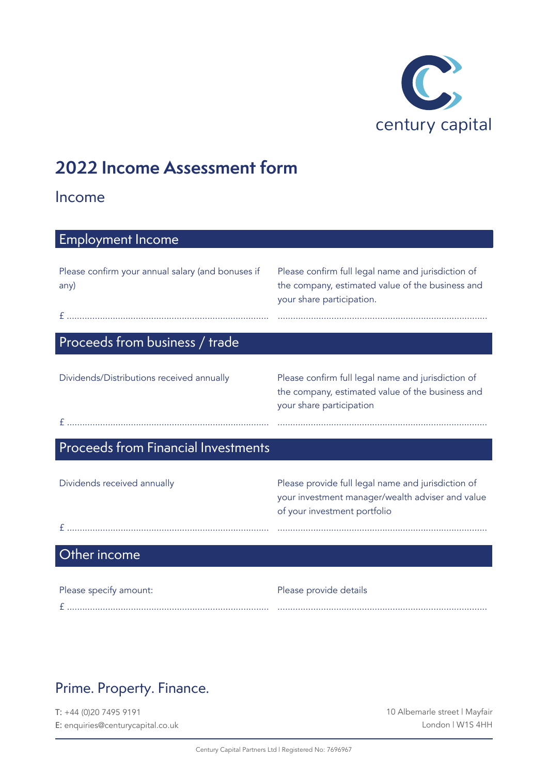

# **2022 Income Assessment form**

#### Income

| <b>Employment Income</b>                                  |                                                                                                                                        |
|-----------------------------------------------------------|----------------------------------------------------------------------------------------------------------------------------------------|
| Please confirm your annual salary (and bonuses if<br>any) | Please confirm full legal name and jurisdiction of<br>the company, estimated value of the business and<br>your share participation.    |
|                                                           |                                                                                                                                        |
| Proceeds from business / trade                            |                                                                                                                                        |
| Dividends/Distributions received annually                 | Please confirm full legal name and jurisdiction of<br>the company, estimated value of the business and                                 |
|                                                           | your share participation                                                                                                               |
| Proceeds from Financial Investments                       |                                                                                                                                        |
| Dividends received annually                               | Please provide full legal name and jurisdiction of<br>your investment manager/wealth adviser and value<br>of your investment portfolio |
|                                                           |                                                                                                                                        |
| Other income                                              |                                                                                                                                        |
|                                                           |                                                                                                                                        |

| Please specify amount: | Please provide details |
|------------------------|------------------------|
|                        |                        |

### Prime. Property. Finance.

T: +44 (0)20 7495 9191 E: enquiries@centurycapital.co.uk 10 Albemarle street | Mayfair London | W1S 4HH